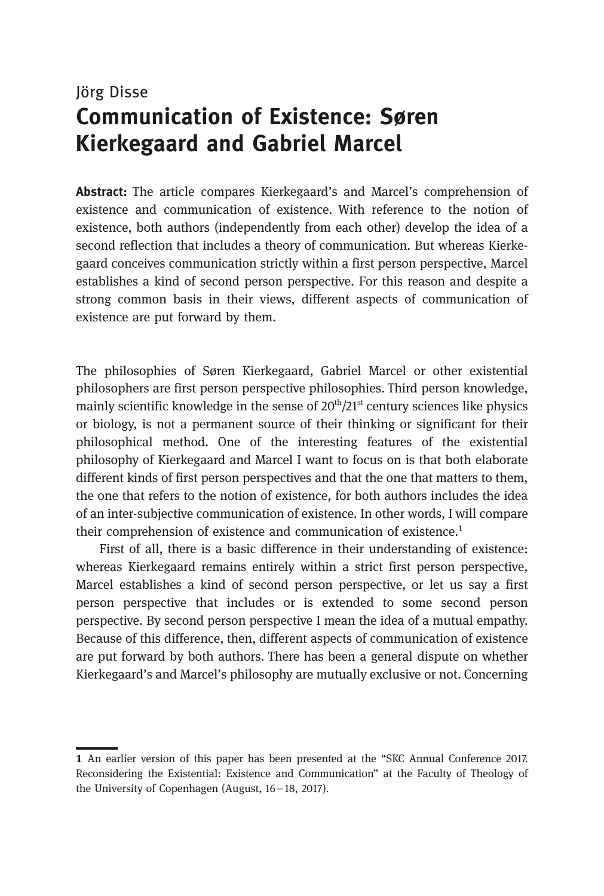# Jörg Disse Communication of Existence: Søren Kierkegaard and Gabriel Marcel

Abstract: The article compares Kierkegaard's and Marcel's comprehension of existence and communication of existence. With reference to the notion of existence, both authors (independently from each other) develop the idea of a second reflection that includes a theory of communication. But whereas Kierkegaard conceives communication strictly within a first person perspective, Marcel establishes a kind of second person perspective. For this reason and despite a strong common basis in their views, different aspects of communication of existence are put forward by them.

The philosophies of Søren Kierkegaard, Gabriel Marcel or other existential philosophers are first person perspective philosophies. Third person knowledge, mainly scientific knowledge in the sense of  $20<sup>th</sup>/21<sup>st</sup>$  century sciences like physics or biology, is not a permanent source of their thinking or significant for their philosophical method. One of the interesting features of the existential philosophy of Kierkegaard and Marcel I want to focus on is that both elaborate different kinds of first person perspectives and that the one that matters to them, the one that refers to the notion of existence, for both authors includes the idea of an inter-subjective communication of existence. In other words, I will compare their comprehension of existence and communication of existence.<sup>1</sup>

First of all, there is a basic difference in their understanding of existence: whereas Kierkegaard remains entirely within a strict first person perspective, Marcel establishes a kind of second person perspective, or let us say a first person perspective that includes or is extended to some second person perspective. By second person perspective I mean the idea of a mutual empathy. Because of this difference, then, different aspects of communication of existence are put forward by both authors. There has been a general dispute on whether Kierkegaard's and Marcel's philosophy are mutually exclusive or not. Concerning

An earlier version of this paper has been presented at the "SKC Annual Conference 2017. Reconsidering the Existential: Existence and Communication" at the Faculty of Theology of the University of Copenhagen (August, 16–18, 2017).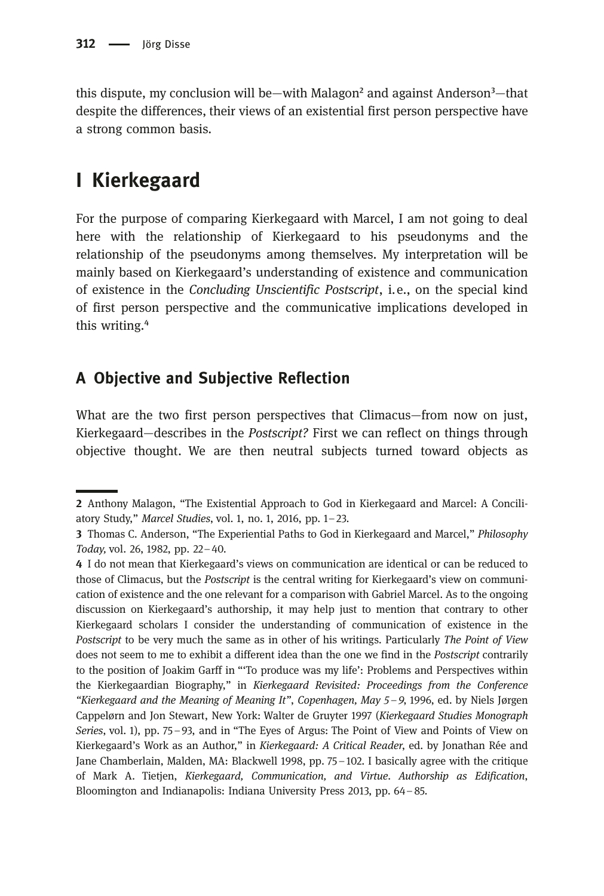this dispute, my conclusion will be—with Malagon<sup>2</sup> and against Anderson<sup>3</sup>—that despite the differences, their views of an existential first person perspective have a strong common basis.

# I Kierkegaard

For the purpose of comparing Kierkegaard with Marcel, I am not going to deal here with the relationship of Kierkegaard to his pseudonyms and the relationship of the pseudonyms among themselves. My interpretation will be mainly based on Kierkegaard's understanding of existence and communication of existence in the Concluding Unscientific Postscript, i.e., on the special kind of first person perspective and the communicative implications developed in this writing.<sup>4</sup>

### A Objective and Subjective Reflection

What are the two first person perspectives that Climacus—from now on just, Kierkegaard—describes in the Postscript? First we can reflect on things through objective thought. We are then neutral subjects turned toward objects as

<sup>2</sup> Anthony Malagon, "The Existential Approach to God in Kierkegaard and Marcel: A Conciliatory Study," Marcel Studies, vol. 1, no. 1, 2016, pp. 1–23.

Thomas C. Anderson, "The Experiential Paths to God in Kierkegaard and Marcel," Philosophy Today, vol. 26, 1982, pp. 22–40.

I do not mean that Kierkegaard's views on communication are identical or can be reduced to those of Climacus, but the Postscript is the central writing for Kierkegaard's view on communication of existence and the one relevant for a comparison with Gabriel Marcel. As to the ongoing discussion on Kierkegaard's authorship, it may help just to mention that contrary to other Kierkegaard scholars I consider the understanding of communication of existence in the Postscript to be very much the same as in other of his writings. Particularly The Point of View does not seem to me to exhibit a different idea than the one we find in the Postscript contrarily to the position of Joakim Garff in "'To produce was my life': Problems and Perspectives within the Kierkegaardian Biography," in Kierkegaard Revisited: Proceedings from the Conference "Kierkegaard and the Meaning of Meaning It", Copenhagen, May  $5-9$ , 1996, ed. by Niels Jørgen Cappelørn and Jon Stewart, New York: Walter de Gruyter 1997 (Kierkegaard Studies Monograph Series, vol. 1), pp. 75–93, and in "The Eyes of Argus: The Point of View and Points of View on Kierkegaard's Work as an Author," in Kierkegaard: A Critical Reader, ed. by Jonathan Rée and Jane Chamberlain, Malden, MA: Blackwell 1998, pp. 75–102. I basically agree with the critique of Mark A. Tietjen, Kierkegaard, Communication, and Virtue. Authorship as Edification, Bloomington and Indianapolis: Indiana University Press 2013, pp. 64–85.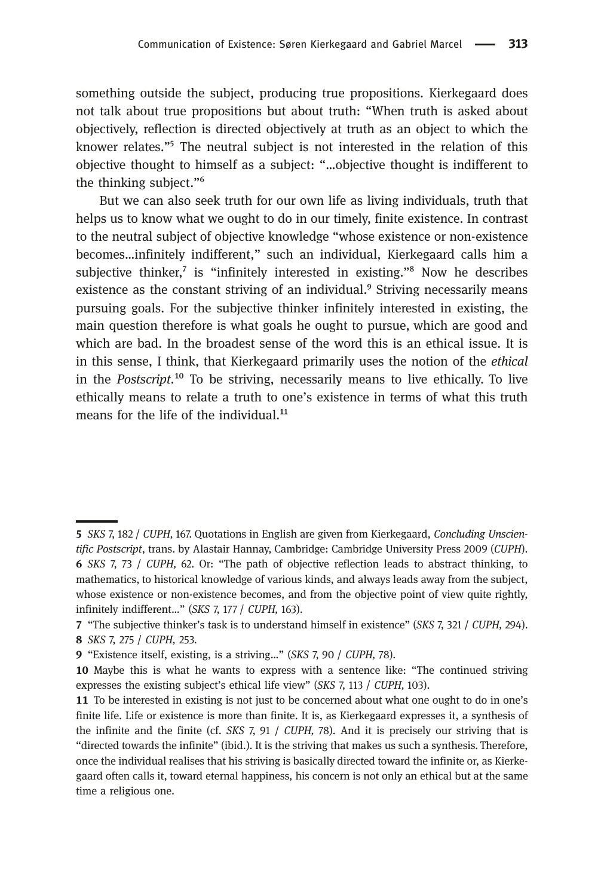something outside the subject, producing true propositions. Kierkegaard does not talk about true propositions but about truth: "When truth is asked about objectively, reflection is directed objectively at truth as an object to which the knower relates."<sup>5</sup> The neutral subject is not interested in the relation of this objective thought to himself as a subject: "…objective thought is indifferent to the thinking subject."<sup>6</sup>

But we can also seek truth for our own life as living individuals, truth that helps us to know what we ought to do in our timely, finite existence. In contrast to the neutral subject of objective knowledge "whose existence or non-existence becomes…infinitely indifferent," such an individual, Kierkegaard calls him a subjective thinker, $\vec{a}$  is "infinitely interested in existing." $\delta$  Now he describes existence as the constant striving of an individual.<sup>9</sup> Striving necessarily means pursuing goals. For the subjective thinker infinitely interested in existing, the main question therefore is what goals he ought to pursue, which are good and which are bad. In the broadest sense of the word this is an ethical issue. It is in this sense, I think, that Kierkegaard primarily uses the notion of the ethical in the *Postscript*.<sup>10</sup> To be striving, necessarily means to live ethically. To live ethically means to relate a truth to one's existence in terms of what this truth means for the life of the individual. $11$ 

SKS 7, 182 / CUPH, 167. Quotations in English are given from Kierkegaard, Concluding Unscientific Postscript, trans. by Alastair Hannay, Cambridge: Cambridge University Press 2009 (CUPH). SKS 7, 73 / CUPH, 62. Or: "The path of objective reflection leads to abstract thinking, to mathematics, to historical knowledge of various kinds, and always leads away from the subject, whose existence or non-existence becomes, and from the objective point of view quite rightly, infinitely indifferent…" (SKS 7, 177 / CUPH, 163).

"The subjective thinker's task is to understand himself in existence" (SKS 7, 321 / CUPH, 294). SKS 7, 275 / CUPH, 253.

<sup>9 &</sup>quot;Existence itself, existing, is a striving..." (SKS 7, 90 / CUPH, 78).

<sup>10</sup> Maybe this is what he wants to express with a sentence like: "The continued striving expresses the existing subject's ethical life view" (SKS 7, 113 / CUPH, 103).

To be interested in existing is not just to be concerned about what one ought to do in one's finite life. Life or existence is more than finite. It is, as Kierkegaard expresses it, a synthesis of the infinite and the finite (cf. SKS  $7$ , 91 / CUPH, 78). And it is precisely our striving that is "directed towards the infinite" (ibid.). It is the striving that makes us such a synthesis. Therefore, once the individual realises that his striving is basically directed toward the infinite or, as Kierkegaard often calls it, toward eternal happiness, his concern is not only an ethical but at the same time a religious one.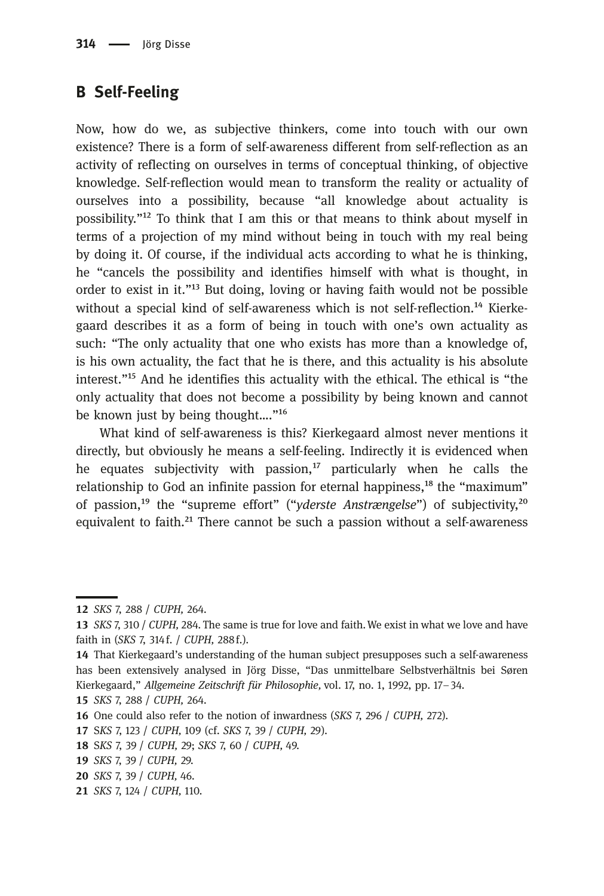### B Self-Feeling

Now, how do we, as subjective thinkers, come into touch with our own existence? There is a form of self-awareness different from self-reflection as an activity of reflecting on ourselves in terms of conceptual thinking, of objective knowledge. Self-reflection would mean to transform the reality or actuality of ourselves into a possibility, because "all knowledge about actuality is possibility."<sup>12</sup> To think that I am this or that means to think about myself in terms of a projection of my mind without being in touch with my real being by doing it. Of course, if the individual acts according to what he is thinking, he "cancels the possibility and identifies himself with what is thought, in order to exist in it."<sup>13</sup> But doing, loving or having faith would not be possible without a special kind of self-awareness which is not self-reflection.<sup>14</sup> Kierkegaard describes it as a form of being in touch with one's own actuality as such: "The only actuality that one who exists has more than a knowledge of, is his own actuality, the fact that he is there, and this actuality is his absolute interest."<sup>15</sup> And he identifies this actuality with the ethical. The ethical is "the only actuality that does not become a possibility by being known and cannot be known just by being thought...."<sup>16</sup>

What kind of self-awareness is this? Kierkegaard almost never mentions it directly, but obviously he means a self-feeling. Indirectly it is evidenced when he equates subjectivity with passion, $17$  particularly when he calls the relationship to God an infinite passion for eternal happiness, $^{18}$  the "maximum" of passion,<sup>19</sup> the "supreme effort" ("*yderste Anstrængelse*") of subjectivity,<sup>20</sup> equivalent to faith.<sup>21</sup> There cannot be such a passion without a self-awareness

SKS 7, 123 / CUPH, 109 (cf. SKS 7, 39 / CUPH, 29).

21 SKS 7, 124 / CUPH, 110.

SKS 7, 288 / CUPH, 264.

<sup>13</sup> SKS 7, 310 / CUPH, 284. The same is true for love and faith. We exist in what we love and have faith in (SKS 7, 314 f. / CUPH, 288 f.).

That Kierkegaard's understanding of the human subject presupposes such a self-awareness has been extensively analysed in Jörg Disse, "Das unmittelbare Selbstverhältnis bei Søren Kierkegaard," Allgemeine Zeitschrift für Philosophie, vol. 17, no. 1, 1992, pp. 17–34.

SKS 7, 288 / CUPH, 264.

<sup>16</sup> One could also refer to the notion of inwardness (SKS 7, 296 / CUPH, 272).

SKS 7, 39 / CUPH, 29; SKS 7, 60 / CUPH, 49.

SKS 7, 39 / CUPH, 29.

<sup>20</sup> SKS 7, 39 / CUPH, 46.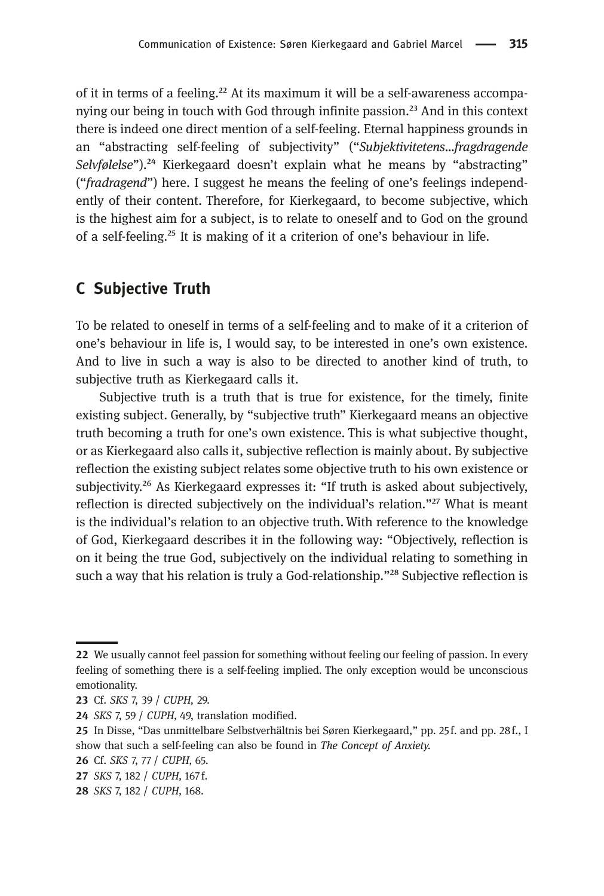of it in terms of a feeling.<sup>22</sup> At its maximum it will be a self-awareness accompanying our being in touch with God through infinite passion.<sup>23</sup> And in this context there is indeed one direct mention of a self-feeling. Eternal happiness grounds in an "abstracting self-feeling of subjectivity" ("Subjektivitetens…fragdragende Selvfølelse").<sup>24</sup> Kierkegaard doesn't explain what he means by "abstracting" ("fradragend") here. I suggest he means the feeling of one's feelings independently of their content. Therefore, for Kierkegaard, to become subjective, which is the highest aim for a subject, is to relate to oneself and to God on the ground of a self-feeling.<sup>25</sup> It is making of it a criterion of one's behaviour in life.

#### C Subjective Truth

To be related to oneself in terms of a self-feeling and to make of it a criterion of one's behaviour in life is, I would say, to be interested in one's own existence. And to live in such a way is also to be directed to another kind of truth, to subjective truth as Kierkegaard calls it.

Subjective truth is a truth that is true for existence, for the timely, finite existing subject. Generally, by "subjective truth" Kierkegaard means an objective truth becoming a truth for one's own existence. This is what subjective thought, or as Kierkegaard also calls it, subjective reflection is mainly about. By subjective reflection the existing subject relates some objective truth to his own existence or subjectivity.<sup>26</sup> As Kierkegaard expresses it: "If truth is asked about subjectively, reflection is directed subjectively on the individual's relation."<sup>27</sup> What is meant is the individual's relation to an objective truth. With reference to the knowledge of God, Kierkegaard describes it in the following way: "Objectively, reflection is on it being the true God, subjectively on the individual relating to something in such a way that his relation is truly a God-relationship."<sup>28</sup> Subjective reflection is

26 Cf. SKS 7, 77 / CUPH, 65.

<sup>22</sup> We usually cannot feel passion for something without feeling our feeling of passion. In every feeling of something there is a self-feeling implied. The only exception would be unconscious emotionality.

<sup>23</sup> Cf. SKS 7, 39 / CUPH, 29.

<sup>24</sup> SKS 7, 59 / CUPH, 49, translation modified.

<sup>25</sup> In Disse, "Das unmittelbare Selbstverhältnis bei Søren Kierkegaard," pp. 25 f. and pp. 28 f., I show that such a self-feeling can also be found in The Concept of Anxiety.

<sup>27</sup> SKS 7, 182 / CUPH, 167 f.

<sup>28</sup> SKS 7, 182 / CUPH, 168.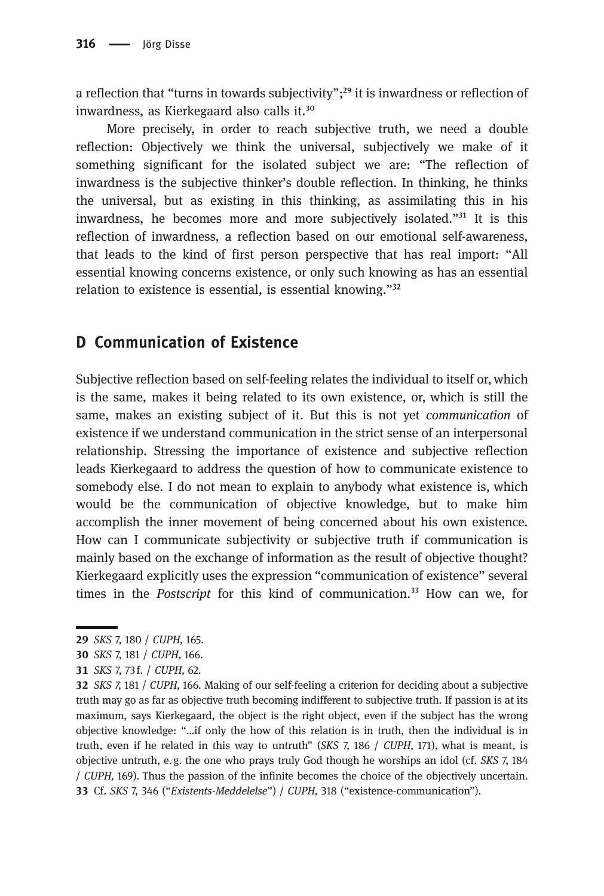a reflection that "turns in towards subjectivity";<sup>29</sup> it is inwardness or reflection of inwardness, as Kierkegaard also calls it.<sup>30</sup>

More precisely, in order to reach subjective truth, we need a double reflection: Objectively we think the universal, subjectively we make of it something significant for the isolated subject we are: "The reflection of inwardness is the subjective thinker's double reflection. In thinking, he thinks the universal, but as existing in this thinking, as assimilating this in his inwardness, he becomes more and more subjectively isolated."<sup>31</sup> It is this reflection of inwardness, a reflection based on our emotional self-awareness, that leads to the kind of first person perspective that has real import: "All essential knowing concerns existence, or only such knowing as has an essential relation to existence is essential, is essential knowing." $32$ 

#### D Communication of Existence

Subjective reflection based on self-feeling relates the individual to itself or, which is the same, makes it being related to its own existence, or, which is still the same, makes an existing subject of it. But this is not yet communication of existence if we understand communication in the strict sense of an interpersonal relationship. Stressing the importance of existence and subjective reflection leads Kierkegaard to address the question of how to communicate existence to somebody else. I do not mean to explain to anybody what existence is, which would be the communication of objective knowledge, but to make him accomplish the inner movement of being concerned about his own existence. How can I communicate subjectivity or subjective truth if communication is mainly based on the exchange of information as the result of objective thought? Kierkegaard explicitly uses the expression "communication of existence" several times in the *Postscript* for this kind of communication.<sup>33</sup> How can we, for

<sup>29</sup> SKS 7, 180 / CUPH, 165.

SKS 7, 181 / CUPH, 166.

<sup>31</sup> SKS 7, 73f. / CUPH, 62.

SKS 7, 181 / CUPH, 166. Making of our self-feeling a criterion for deciding about a subjective truth may go as far as objective truth becoming indifferent to subjective truth. If passion is at its maximum, says Kierkegaard, the object is the right object, even if the subject has the wrong objective knowledge: "…if only the how of this relation is in truth, then the individual is in truth, even if he related in this way to untruth"  $(SKS 7, 186 / CUPH, 171)$ , what is meant, is objective untruth, e. g. the one who prays truly God though he worships an idol (cf. SKS 7, 184 / CUPH, 169). Thus the passion of the infinite becomes the choice of the objectively uncertain. Cf. SKS 7, 346 ("Existents-Meddelelse") / CUPH, 318 ("existence-communication").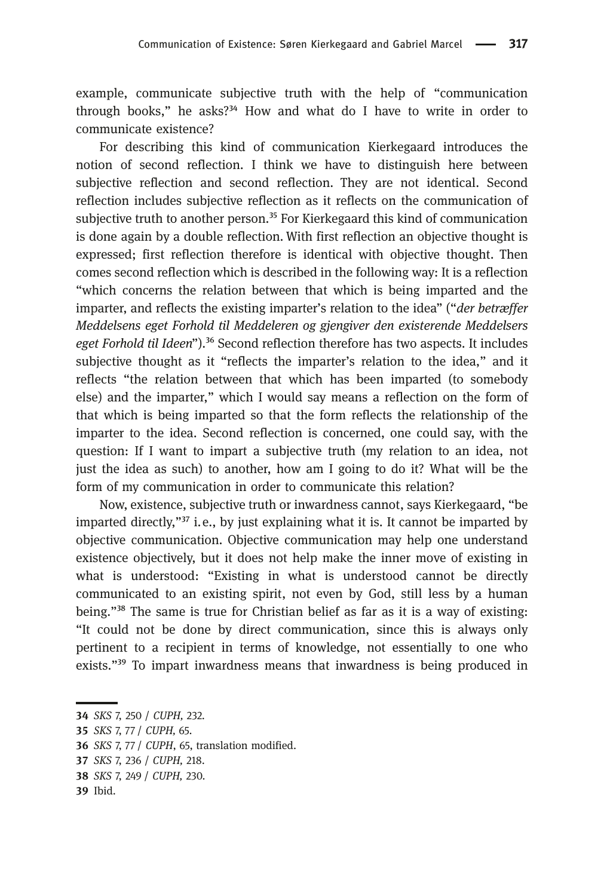example, communicate subjective truth with the help of "communication through books," he asks? $34$  How and what do I have to write in order to communicate existence?

For describing this kind of communication Kierkegaard introduces the notion of second reflection. I think we have to distinguish here between subjective reflection and second reflection. They are not identical. Second reflection includes subjective reflection as it reflects on the communication of subjective truth to another person.<sup>35</sup> For Kierkegaard this kind of communication is done again by a double reflection. With first reflection an objective thought is expressed; first reflection therefore is identical with objective thought. Then comes second reflection which is described in the following way: It is a reflection "which concerns the relation between that which is being imparted and the imparter, and reflects the existing imparter's relation to the idea" ("der betræffer Meddelsens eget Forhold til Meddeleren og gjengiver den existerende Meddelsers eget Forhold til Ideen").<sup>36</sup> Second reflection therefore has two aspects. It includes subjective thought as it "reflects the imparter's relation to the idea," and it reflects "the relation between that which has been imparted (to somebody else) and the imparter," which I would say means a reflection on the form of that which is being imparted so that the form reflects the relationship of the imparter to the idea. Second reflection is concerned, one could say, with the question: If I want to impart a subjective truth (my relation to an idea, not just the idea as such) to another, how am I going to do it? What will be the form of my communication in order to communicate this relation?

Now, existence, subjective truth or inwardness cannot, says Kierkegaard, "be imparted directly," $37$  i.e., by just explaining what it is. It cannot be imparted by objective communication. Objective communication may help one understand existence objectively, but it does not help make the inner move of existing in what is understood: "Existing in what is understood cannot be directly communicated to an existing spirit, not even by God, still less by a human being."<sup>38</sup> The same is true for Christian belief as far as it is a way of existing: "It could not be done by direct communication, since this is always only pertinent to a recipient in terms of knowledge, not essentially to one who exists."<sup>39</sup> To impart inwardness means that inwardness is being produced in

SKS 7, 250 / CUPH, 232.

SKS 7, 77 / CUPH, 65.

<sup>36</sup> SKS 7, 77 / CUPH, 65, translation modified.

SKS 7, 236 / CUPH, 218.

SKS 7, 249 / CUPH, 230.

<sup>39</sup> Ibid.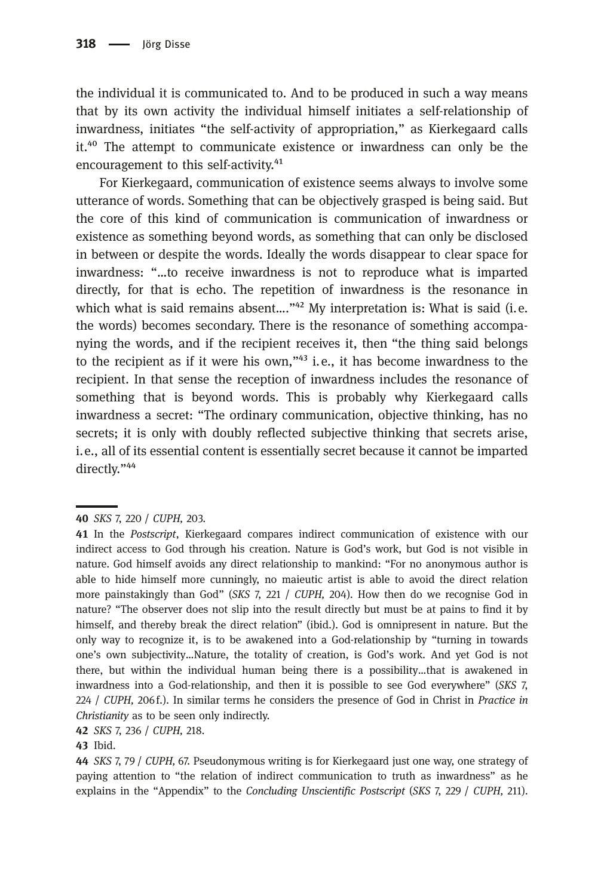the individual it is communicated to. And to be produced in such a way means that by its own activity the individual himself initiates a self-relationship of inwardness, initiates "the self-activity of appropriation," as Kierkegaard calls it.<sup>40</sup> The attempt to communicate existence or inwardness can only be the encouragement to this self-activity.<sup>41</sup>

For Kierkegaard, communication of existence seems always to involve some utterance of words. Something that can be objectively grasped is being said. But the core of this kind of communication is communication of inwardness or existence as something beyond words, as something that can only be disclosed in between or despite the words. Ideally the words disappear to clear space for inwardness: "…to receive inwardness is not to reproduce what is imparted directly, for that is echo. The repetition of inwardness is the resonance in which what is said remains absent...."<sup>42</sup> My interpretation is: What is said (i.e. the words) becomes secondary. There is the resonance of something accompanying the words, and if the recipient receives it, then "the thing said belongs to the recipient as if it were his own," $43$  i.e., it has become inwardness to the recipient. In that sense the reception of inwardness includes the resonance of something that is beyond words. This is probably why Kierkegaard calls inwardness a secret: "The ordinary communication, objective thinking, has no secrets; it is only with doubly reflected subjective thinking that secrets arise, i.e., all of its essential content is essentially secret because it cannot be imparted directly."<sup>44</sup>

43 Ibid.

SKS 7, 220 / CUPH, 203.

In the Postscript, Kierkegaard compares indirect communication of existence with our indirect access to God through his creation. Nature is God's work, but God is not visible in nature. God himself avoids any direct relationship to mankind: "For no anonymous author is able to hide himself more cunningly, no maieutic artist is able to avoid the direct relation more painstakingly than God" (SKS 7, 221 / CUPH, 204). How then do we recognise God in nature? "The observer does not slip into the result directly but must be at pains to find it by himself, and thereby break the direct relation" (ibid.). God is omnipresent in nature. But the only way to recognize it, is to be awakened into a God-relationship by "turning in towards one's own subjectivity…Nature, the totality of creation, is God's work. And yet God is not there, but within the individual human being there is a possibility…that is awakened in inwardness into a God-relationship, and then it is possible to see God everywhere" (SKS 7, 224 / CUPH, 206f.). In similar terms he considers the presence of God in Christ in Practice in Christianity as to be seen only indirectly.

SKS 7, 236 / CUPH, 218.

SKS 7, 79 / CUPH, 67. Pseudonymous writing is for Kierkegaard just one way, one strategy of paying attention to "the relation of indirect communication to truth as inwardness" as he explains in the "Appendix" to the Concluding Unscientific Postscript (SKS 7, 229 / CUPH, 211).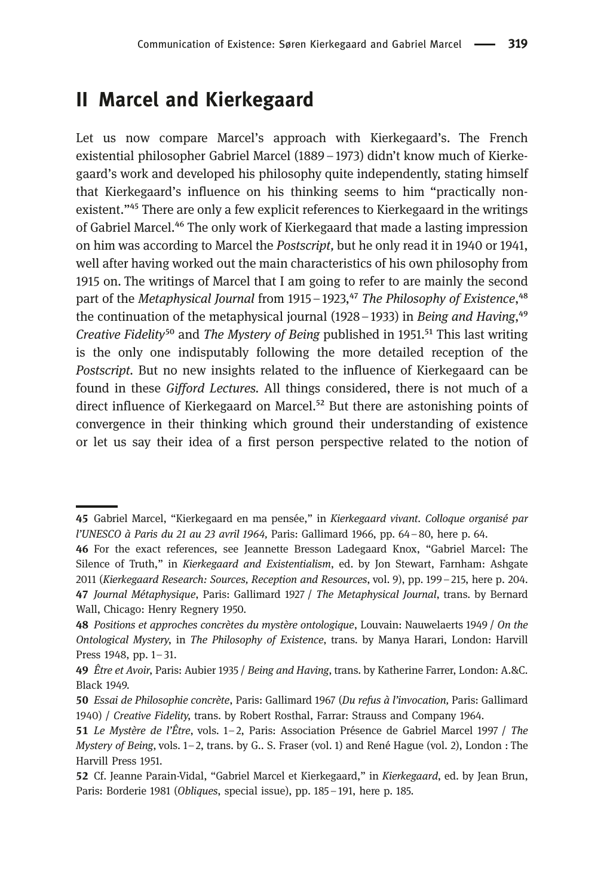## II Marcel and Kierkegaard

Let us now compare Marcel's approach with Kierkegaard's. The French existential philosopher Gabriel Marcel (1889–1973) didn't know much of Kierkegaard's work and developed his philosophy quite independently, stating himself that Kierkegaard's influence on his thinking seems to him "practically nonexistent."<sup>45</sup> There are only a few explicit references to Kierkegaard in the writings of Gabriel Marcel.⁴⁶ The only work of Kierkegaard that made a lasting impression on him was according to Marcel the Postscript, but he only read it in 1940 or 1941, well after having worked out the main characteristics of his own philosophy from 1915 on. The writings of Marcel that I am going to refer to are mainly the second part of the Metaphysical Journal from  $1915-1923$ ,<sup>47</sup> The Philosophy of Existence, <sup>48</sup> the continuation of the metaphysical journal (1928–1933) in Being and Having, $49$ *Creative Fidelity*<sup>50</sup> and *The Mystery of Being* published in 1951.<sup>51</sup> This last writing is the only one indisputably following the more detailed reception of the Postscript. But no new insights related to the influence of Kierkegaard can be found in these Gifford Lectures. All things considered, there is not much of a direct influence of Kierkegaard on Marcel.<sup>52</sup> But there are astonishing points of convergence in their thinking which ground their understanding of existence or let us say their idea of a first person perspective related to the notion of

Gabriel Marcel, "Kierkegaard en ma pensée," in Kierkegaard vivant. Colloque organisé par l'UNESCO à Paris du 21 au 23 avril 1964, Paris: Gallimard 1966, pp. 64–80, here p. 64.

For the exact references, see Jeannette Bresson Ladegaard Knox, "Gabriel Marcel: The Silence of Truth," in Kierkegaard and Existentialism, ed. by Jon Stewart, Farnham: Ashgate 2011 (Kierkegaard Research: Sources, Reception and Resources, vol. 9), pp. 199–215, here p. 204. 47 Journal Métaphysique, Paris: Gallimard 1927 / The Metaphysical Journal, trans. by Bernard Wall, Chicago: Henry Regnery 1950.

Positions et approches concrètes du mystère ontologique, Louvain: Nauwelaerts 1949 / On the Ontological Mystery, in The Philosophy of Existence, trans. by Manya Harari, London: Harvill Press 1948, pp. 1–31.

<sup>49</sup> Étre et Avoir, Paris: Aubier 1935 / Being and Having, trans. by Katherine Farrer, London: A.&C. Black 1949.

Essai de Philosophie concrète, Paris: Gallimard 1967 (Du refus à l'invocation, Paris: Gallimard 1940) / Creative Fidelity, trans. by Robert Rosthal, Farrar: Strauss and Company 1964.

<sup>51</sup> Le Mystère de l'Être, vols. 1–2, Paris: Association Présence de Gabriel Marcel 1997 / The Mystery of Being, vols. 1–2, trans. by G.. S. Fraser (vol. 1) and René Hague (vol. 2), London : The Harvill Press 1951.

<sup>52</sup> Cf. Jeanne Parain-Vidal, "Gabriel Marcel et Kierkegaard," in Kierkegaard, ed. by Jean Brun, Paris: Borderie 1981 (Obliques, special issue), pp. 185–191, here p. 185.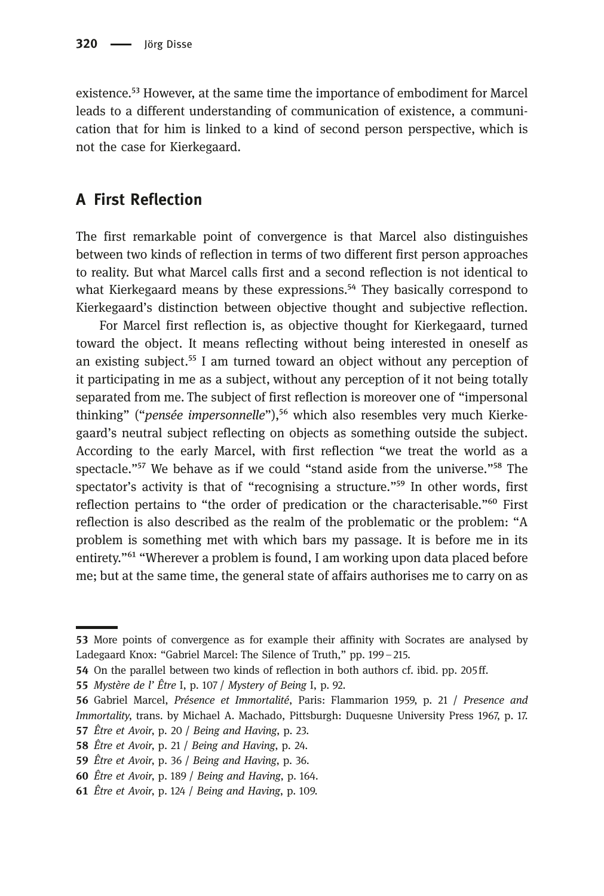existence.<sup>53</sup> However, at the same time the importance of embodiment for Marcel leads to a different understanding of communication of existence, a communication that for him is linked to a kind of second person perspective, which is not the case for Kierkegaard.

#### A First Reflection

The first remarkable point of convergence is that Marcel also distinguishes between two kinds of reflection in terms of two different first person approaches to reality. But what Marcel calls first and a second reflection is not identical to what Kierkegaard means by these expressions.<sup>54</sup> They basically correspond to Kierkegaard's distinction between objective thought and subjective reflection.

For Marcel first reflection is, as objective thought for Kierkegaard, turned toward the object. It means reflecting without being interested in oneself as an existing subject. $55$  I am turned toward an object without any perception of it participating in me as a subject, without any perception of it not being totally separated from me. The subject of first reflection is moreover one of "impersonal thinking" ("pensée impersonnelle"),<sup>56</sup> which also resembles very much Kierkegaard's neutral subject reflecting on objects as something outside the subject. According to the early Marcel, with first reflection "we treat the world as a spectacle."<sup>57</sup> We behave as if we could "stand aside from the universe."<sup>58</sup> The spectator's activity is that of "recognising a structure."<sup>59</sup> In other words, first reflection pertains to "the order of predication or the characterisable." $^{60}$  First reflection is also described as the realm of the problematic or the problem: "A problem is something met with which bars my passage. It is before me in its entirety."<sup>61</sup> "Wherever a problem is found, I am working upon data placed before me; but at the same time, the general state of affairs authorises me to carry on as

55 Mystère de l' Être I, p. 107 / Mystery of Being I, p. 92.

<sup>53</sup> More points of convergence as for example their affinity with Socrates are analysed by Ladegaard Knox: "Gabriel Marcel: The Silence of Truth," pp. 199–215.

<sup>54</sup> On the parallel between two kinds of reflection in both authors cf. ibid. pp. 205ff.

<sup>56</sup> Gabriel Marcel, Présence et Immortalité, Paris: Flammarion 1959, p. 21 / Presence and Immortality, trans. by Michael A. Machado, Pittsburgh: Duquesne University Press 1967, p. 17.

<sup>57</sup>  $\hat{E}$ tre et Avoir, p. 20 / Being and Having, p. 23.

<sup>58</sup>  $\hat{E}$ tre et Avoir, p. 21 / Being and Having, p. 24.

<sup>59</sup>  $\hat{E}$ tre et Avoir, p. 36 / Being and Having, p. 36.

<sup>60</sup>  $\hat{E}$ tre et Avoir, p. 189 / Being and Having, p. 164.

<sup>61</sup>  $\hat{E}$ tre et Avoir, p. 124 / Being and Having, p. 109.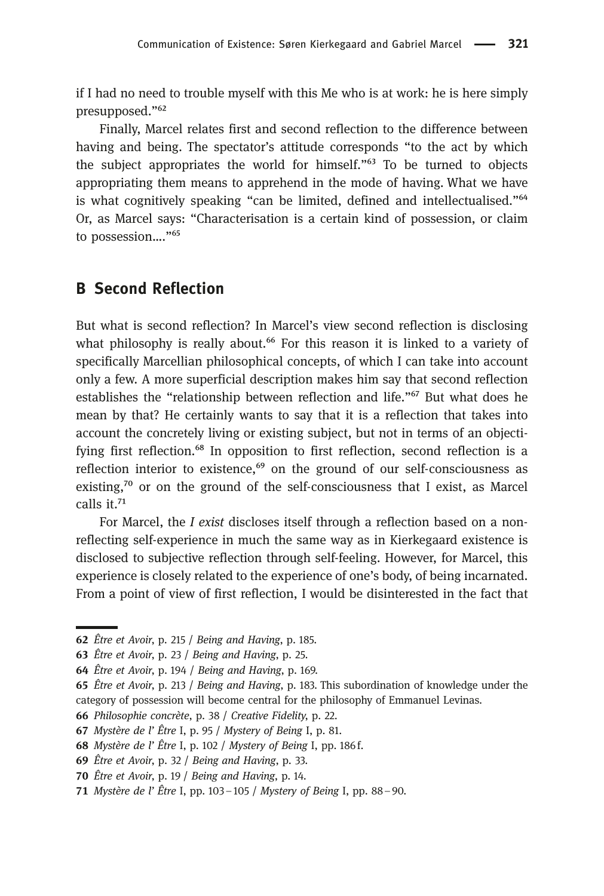if I had no need to trouble myself with this Me who is at work: he is here simply presupposed."<sup>62</sup>

Finally, Marcel relates first and second reflection to the difference between having and being. The spectator's attitude corresponds "to the act by which the subject appropriates the world for himself."<sup>63</sup> To be turned to objects appropriating them means to apprehend in the mode of having. What we have is what cognitively speaking "can be limited, defined and intellectualised."<sup>64</sup> Or, as Marcel says: "Characterisation is a certain kind of possession, or claim to possession...."<sup>65</sup>

#### B Second Reflection

But what is second reflection? In Marcel's view second reflection is disclosing what philosophy is really about.<sup>66</sup> For this reason it is linked to a variety of specifically Marcellian philosophical concepts, of which I can take into account only a few. A more superficial description makes him say that second reflection establishes the "relationship between reflection and life."<sup>67</sup> But what does he mean by that? He certainly wants to say that it is a reflection that takes into account the concretely living or existing subject, but not in terms of an objectifying first reflection.<sup>68</sup> In opposition to first reflection, second reflection is a reflection interior to existence, $^{69}$  on the ground of our self-consciousness as existing, $^{70}$  or on the ground of the self-consciousness that I exist, as Marcel calls it. $71$ 

For Marcel, the I exist discloses itself through a reflection based on a nonreflecting self-experience in much the same way as in Kierkegaard existence is disclosed to subjective reflection through self-feeling. However, for Marcel, this experience is closely related to the experience of one's body, of being incarnated. From a point of view of first reflection, I would be disinterested in the fact that

<sup>62</sup> Étre et Avoir, p. 215 / Being and Having, p. 185.

<sup>63</sup>  $\hat{E}$ tre et Avoir, p. 23 / Being and Having, p. 25.

Être et Avoir, p. 194 / Being and Having, p. 169.

Être et Avoir, p. 213 / Being and Having, p. 183. This subordination of knowledge under the category of possession will become central for the philosophy of Emmanuel Levinas.

<sup>66</sup> Philosophie concrète, p. 38 / Creative Fidelity, p. 22.

<sup>67</sup> Mystère de l' Être I, p. 95 / Mystery of Being I, p. 81.

<sup>68</sup> Mystère de l'Être I, p. 102 / Mystery of Being I, pp. 186f.

<sup>69</sup>  $\hat{E}$ tre et Avoir, p. 32 / Being and Having, p. 33.

<sup>70</sup>  $\hat{E}$ tre et Avoir, p. 19 / Being and Having, p. 14.

<sup>71</sup> Mystère de l' Être I, pp. 103-105 / Mystery of Being I, pp. 88-90.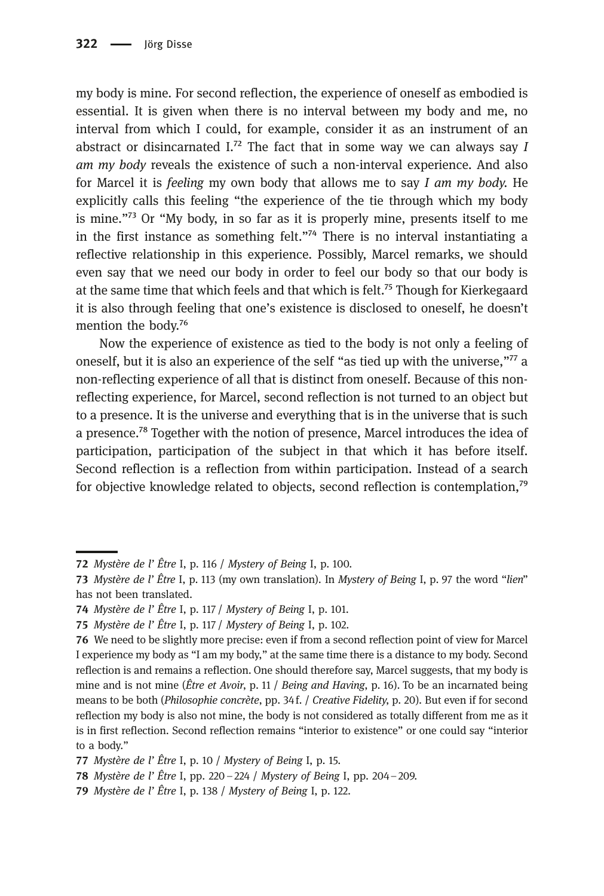my body is mine. For second reflection, the experience of oneself as embodied is essential. It is given when there is no interval between my body and me, no interval from which I could, for example, consider it as an instrument of an abstract or disincarnated  $I^{2}$ . The fact that in some way we can always say I am my body reveals the existence of such a non-interval experience. And also for Marcel it is *feeling* my own body that allows me to say I am my body. He explicitly calls this feeling "the experience of the tie through which my body is mine." $\frac{73}{3}$  Or "My body, in so far as it is properly mine, presents itself to me in the first instance as something felt."<sup>74</sup> There is no interval instantiating a reflective relationship in this experience. Possibly, Marcel remarks, we should even say that we need our body in order to feel our body so that our body is at the same time that which feels and that which is felt.<sup>75</sup> Though for Kierkegaard it is also through feeling that one's existence is disclosed to oneself, he doesn't mention the body.<sup>76</sup>

Now the experience of existence as tied to the body is not only a feeling of oneself, but it is also an experience of the self "as tied up with the universe," $77$  a non-reflecting experience of all that is distinct from oneself. Because of this nonreflecting experience, for Marcel, second reflection is not turned to an object but to a presence. It is the universe and everything that is in the universe that is such a presence.<sup>78</sup> Together with the notion of presence, Marcel introduces the idea of participation, participation of the subject in that which it has before itself. Second reflection is a reflection from within participation. Instead of a search for objective knowledge related to objects, second reflection is contemplation,<sup>79</sup>

Mystère de l' Être I, p. 117 / Mystery of Being I, p. 101.

<sup>72</sup> Mystère de l' Être I, p. 116 / Mystery of Being I, p. 100.

<sup>73</sup> Mystère de l' Être I, p. 113 (my own translation). In Mystery of Being I, p. 97 the word "lien" has not been translated.

Mystère de l' Être I, p. 117 / Mystery of Being I, p. 102.

We need to be slightly more precise: even if from a second reflection point of view for Marcel I experience my body as "I am my body," at the same time there is a distance to my body. Second reflection is and remains a reflection. One should therefore say, Marcel suggests, that my body is mine and is not mine ( $\hat{E}$ tre et Avoir, p. 11 / Being and Having, p. 16). To be an incarnated being means to be both (Philosophie concrète, pp. 34 f. / Creative Fidelity, p. 20). But even if for second reflection my body is also not mine, the body is not considered as totally different from me as it is in first reflection. Second reflection remains "interior to existence" or one could say "interior to a body."

<sup>77</sup> Mystère de l' Être I, p. 10 / Mystery of Being I, p. 15.

<sup>78</sup> Mystère de l' Être I, pp. 220 – 224 / Mystery of Being I, pp. 204 – 209.

<sup>79</sup> Mystère de l'Être I, p. 138 / Mystery of Being I, p. 122.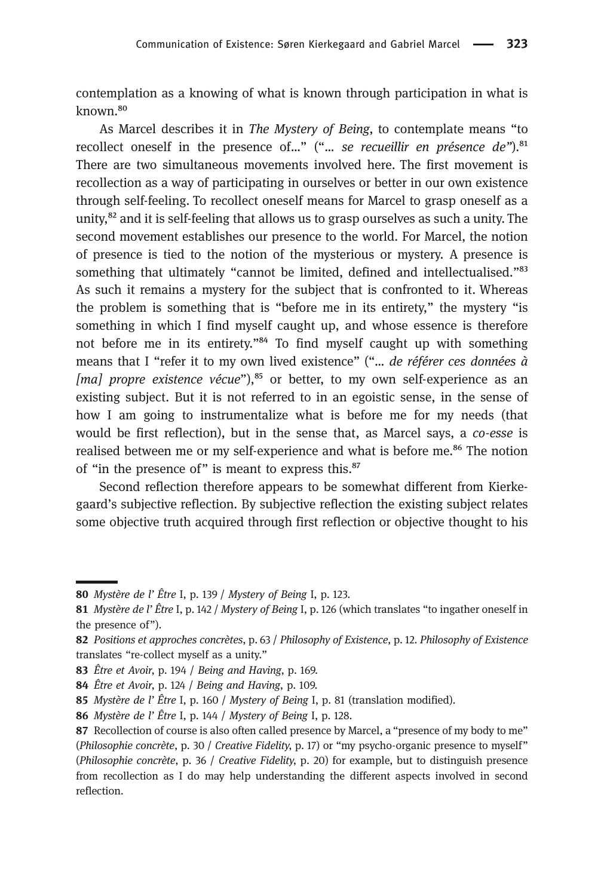contemplation as a knowing of what is known through participation in what is known.<sup>80</sup>

As Marcel describes it in The Mystery of Being, to contemplate means "to recollect oneself in the presence of..." ("... se recueillir en présence de").  $81$ There are two simultaneous movements involved here. The first movement is recollection as a way of participating in ourselves or better in our own existence through self-feeling. To recollect oneself means for Marcel to grasp oneself as a unity, $^{82}$  and it is self-feeling that allows us to grasp ourselves as such a unity. The second movement establishes our presence to the world. For Marcel, the notion of presence is tied to the notion of the mysterious or mystery. A presence is something that ultimately "cannot be limited, defined and intellectualised."<sup>83</sup> As such it remains a mystery for the subject that is confronted to it. Whereas the problem is something that is "before me in its entirety," the mystery "is something in which I find myself caught up, and whose essence is therefore not before me in its entirety."<sup>84</sup> To find myself caught up with something means that I "refer it to my own lived existence" ("… de référer ces données à [ma] propre existence vécue"),<sup>85</sup> or better, to my own self-experience as an existing subject. But it is not referred to in an egoistic sense, in the sense of how I am going to instrumentalize what is before me for my needs (that would be first reflection), but in the sense that, as Marcel says, a co-esse is realised between me or my self-experience and what is before me.<sup>86</sup> The notion of "in the presence of" is meant to express this.<sup>87</sup>

Second reflection therefore appears to be somewhat different from Kierkegaard's subjective reflection. By subjective reflection the existing subject relates some objective truth acquired through first reflection or objective thought to his

Mystère de l' Être I, p. 139 / Mystery of Being I, p. 123.

<sup>81</sup> Mystère de l'Être I, p. 142 / Mystery of Being I, p. 126 (which translates "to ingather oneself in the presence of").

<sup>82</sup> Positions et approches concrètes, p. 63 / Philosophy of Existence, p. 12. Philosophy of Existence translates "re-collect myself as a unity."

<sup>83</sup> Étre et Avoir, p. 194 / Being and Having, p. 169.

<sup>84</sup>  $\hat{E}$ tre et Avoir, p. 124 / Being and Having, p. 109.

<sup>85</sup> Mystère de l' Être I, p. 160 / Mystery of Being I, p. 81 (translation modified).

Mystère de l' Être I, p. 144 / Mystery of Being I, p. 128.

<sup>87</sup> Recollection of course is also often called presence by Marcel, a "presence of my body to me" (Philosophie concrète, p. 30 / Creative Fidelity, p. 17) or "my psycho-organic presence to myself" (Philosophie concrète, p. 36 / Creative Fidelity, p. 20) for example, but to distinguish presence from recollection as I do may help understanding the different aspects involved in second reflection.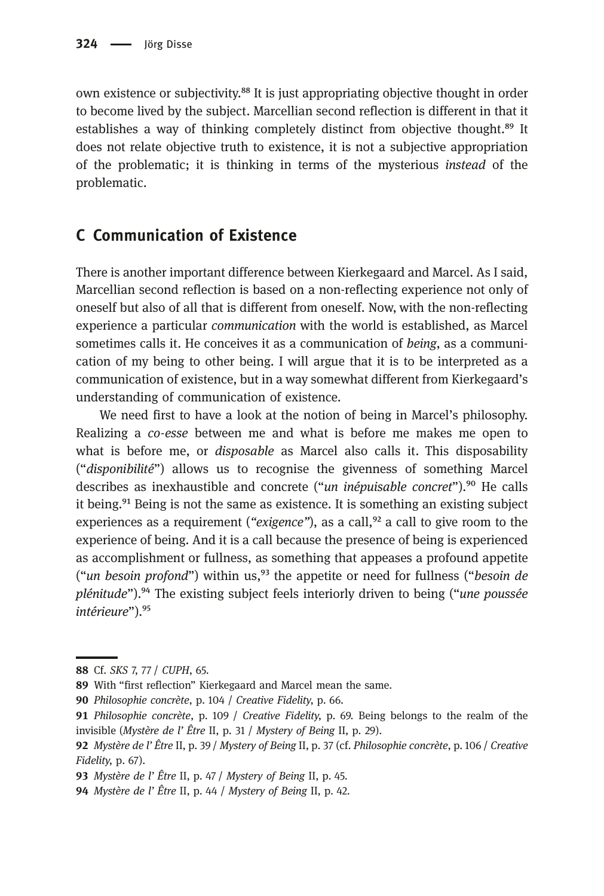own existence or subjectivity.<sup>88</sup> It is just appropriating objective thought in order to become lived by the subject. Marcellian second reflection is different in that it establishes a way of thinking completely distinct from objective thought.<sup>89</sup> It does not relate objective truth to existence, it is not a subjective appropriation of the problematic; it is thinking in terms of the mysterious instead of the problematic.

#### C Communication of Existence

There is another important difference between Kierkegaard and Marcel. As I said, Marcellian second reflection is based on a non-reflecting experience not only of oneself but also of all that is different from oneself. Now, with the non-reflecting experience a particular communication with the world is established, as Marcel sometimes calls it. He conceives it as a communication of being, as a communication of my being to other being. I will argue that it is to be interpreted as a communication of existence, but in a way somewhat different from Kierkegaard's understanding of communication of existence.

We need first to have a look at the notion of being in Marcel's philosophy. Realizing a co-esse between me and what is before me makes me open to what is before me, or *disposable* as Marcel also calls it. This disposability ("disponibilité") allows us to recognise the givenness of something Marcel describes as inexhaustible and concrete ("un inépuisable concret").<sup>90</sup> He calls it being. $91$  Being is not the same as existence. It is something an existing subject experiences as a requirement ("exigence"), as a call, $92$  a call to give room to the experience of being. And it is a call because the presence of being is experienced as accomplishment or fullness, as something that appeases a profound appetite ("un besoin profond") within us,<sup>93</sup> the appetite or need for fullness ("besoin de plénitude").<sup>94</sup> The existing subject feels interiorly driven to being ("une poussée"). intérieure").<sup>95</sup>

<sup>88</sup> Cf. SKS 7, 77 / CUPH, 65.

<sup>89</sup> With "first reflection" Kierkegaard and Marcel mean the same.

<sup>90</sup> Philosophie concrète, p. 104 / Creative Fidelity, p. 66.

Philosophie concrète, p. 109 / Creative Fidelity, p. 69. Being belongs to the realm of the invisible (Mystère de l' Être II, p. 31 / Mystery of Being II, p. 29).

Mystère de l' Être II, p. 39 / Mystery of Being II, p. 37 (cf. Philosophie concrète, p. 106 / Creative Fidelity, p. 67).

<sup>93</sup> Mystère de l' Être II, p. 47 / Mystery of Being II, p. 45.

Mystère de l' Être II, p. 44 / Mystery of Being II, p. 42.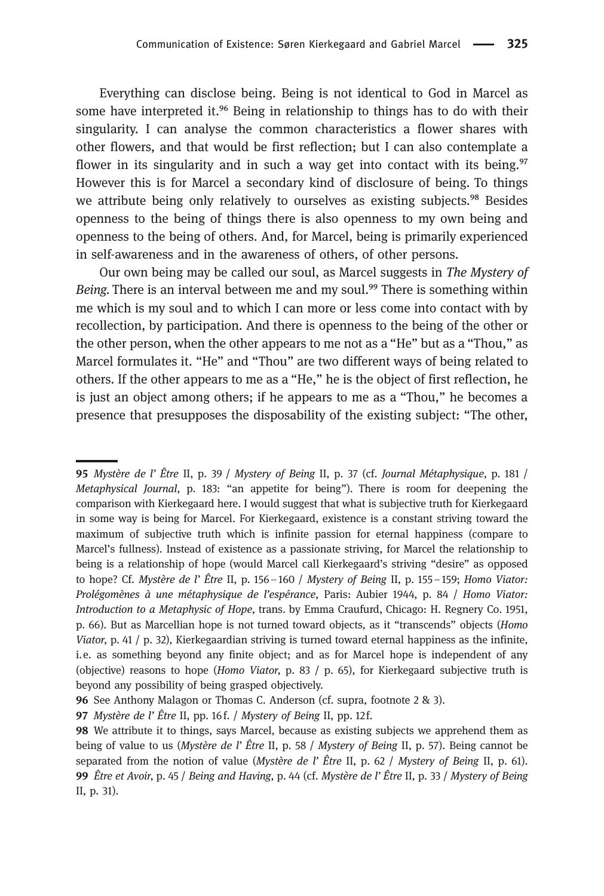Everything can disclose being. Being is not identical to God in Marcel as some have interpreted it. $^{96}$  Being in relationship to things has to do with their singularity. I can analyse the common characteristics a flower shares with other flowers, and that would be first reflection; but I can also contemplate a flower in its singularity and in such a way get into contact with its being.<sup>97</sup> However this is for Marcel a secondary kind of disclosure of being. To things we attribute being only relatively to ourselves as existing subjects.<sup>98</sup> Besides openness to the being of things there is also openness to my own being and openness to the being of others. And, for Marcel, being is primarily experienced in self-awareness and in the awareness of others, of other persons.

Our own being may be called our soul, as Marcel suggests in The Mystery of Being. There is an interval between me and my soul.<sup>99</sup> There is something within me which is my soul and to which I can more or less come into contact with by recollection, by participation. And there is openness to the being of the other or the other person, when the other appears to me not as a "He" but as a "Thou," as Marcel formulates it. "He" and "Thou" are two different ways of being related to others. If the other appears to me as a "He," he is the object of first reflection, he is just an object among others; if he appears to me as a "Thou," he becomes a presence that presupposes the disposability of the existing subject: "The other,

Mystère de l' Être II, p. 39 / Mystery of Being II, p. 37 (cf. Journal Métaphysique, p. 181 / Metaphysical Journal, p. 183: "an appetite for being"). There is room for deepening the comparison with Kierkegaard here. I would suggest that what is subjective truth for Kierkegaard in some way is being for Marcel. For Kierkegaard, existence is a constant striving toward the maximum of subjective truth which is infinite passion for eternal happiness (compare to Marcel's fullness). Instead of existence as a passionate striving, for Marcel the relationship to being is a relationship of hope (would Marcel call Kierkegaard's striving "desire" as opposed to hope? Cf. Mystère de l' Être II, p. 156–160 / Mystery of Being II, p. 155–159; Homo Viator: Prolégomènes à une métaphysique de l'espérance, Paris: Aubier 1944, p. 84 / Homo Viator: Introduction to a Metaphysic of Hope, trans. by Emma Craufurd, Chicago: H. Regnery Co. 1951, p. 66). But as Marcellian hope is not turned toward objects, as it "transcends" objects (Homo Viator, p. 41  $/$  p. 32), Kierkegaardian striving is turned toward eternal happiness as the infinite, i.e. as something beyond any finite object; and as for Marcel hope is independent of any (objective) reasons to hope (Homo Viator, p. 83  $/$  p. 65), for Kierkegaard subjective truth is beyond any possibility of being grasped objectively.

<sup>96</sup> See Anthony Malagon or Thomas C. Anderson (cf. supra, footnote 2 & 3).

<sup>97</sup> Mystère de l' Être II, pp. 16f. / Mystery of Being II, pp. 12f.

We attribute it to things, says Marcel, because as existing subjects we apprehend them as being of value to us (Mystère de l' Être II, p. 58 / Mystery of Being II, p. 57). Being cannot be separated from the notion of value (Mystère de l' Être II, p. 62 / Mystery of Being II, p. 61). Être et Avoir, p. 45 / Being and Having, p. 44 (cf. Mystère de l' Être II, p. 33 / Mystery of Being II, p. 31).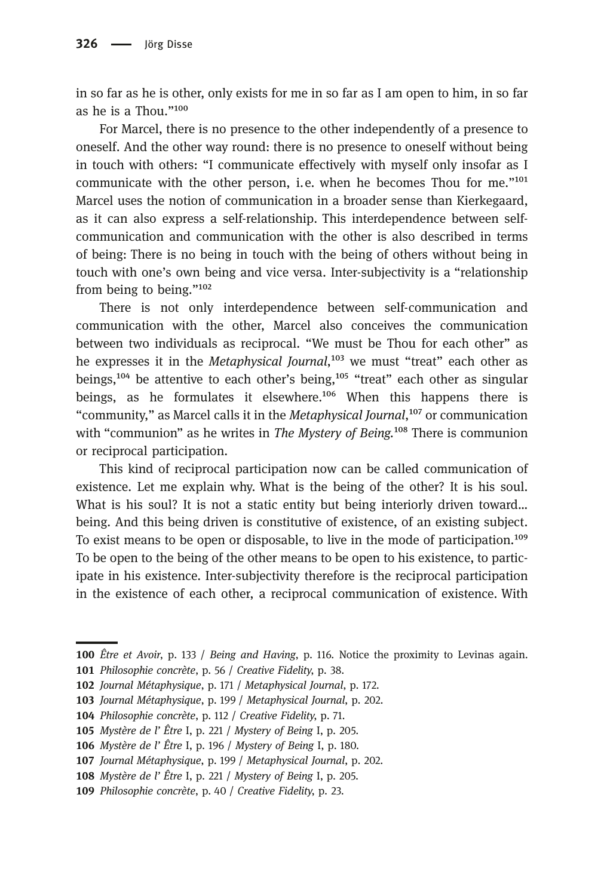in so far as he is other, only exists for me in so far as I am open to him, in so far as he is a Thou." $100$ 

For Marcel, there is no presence to the other independently of a presence to oneself. And the other way round: there is no presence to oneself without being in touch with others: "I communicate effectively with myself only insofar as I communicate with the other person, i.e. when he becomes Thou for me. $10^{101}$ Marcel uses the notion of communication in a broader sense than Kierkegaard, as it can also express a self-relationship. This interdependence between selfcommunication and communication with the other is also described in terms of being: There is no being in touch with the being of others without being in touch with one's own being and vice versa. Inter-subjectivity is a "relationship from being to being." $102$ 

There is not only interdependence between self-communication and communication with the other, Marcel also conceives the communication between two individuals as reciprocal. "We must be Thou for each other" as he expresses it in the *Metaphysical Journal*,<sup>103</sup> we must "treat" each other as beings,<sup>104</sup> be attentive to each other's being,<sup>105</sup> "treat" each other as singular beings, as he formulates it elsewhere.<sup>106</sup> When this happens there is "community," as Marcel calls it in the *Metaphysical Journal*,<sup>107</sup> or communication with "communion" as he writes in The Mystery of Being.<sup>108</sup> There is communion or reciprocal participation.

This kind of reciprocal participation now can be called communication of existence. Let me explain why. What is the being of the other? It is his soul. What is his soul? It is not a static entity but being interiorly driven toward... being. And this being driven is constitutive of existence, of an existing subject. To exist means to be open or disposable, to live in the mode of participation.<sup>109</sup> To be open to the being of the other means to be open to his existence, to participate in his existence. Inter-subjectivity therefore is the reciprocal participation in the existence of each other, a reciprocal communication of existence. With

**<sup>100</sup>**  $\hat{E}$ tre et Avoir, p. 133 / Being and Having, p. 116. Notice the proximity to Levinas again. 101 Philosophie concrète, p. 56 / Creative Fidelity, p. 38.

<sup>102</sup> Journal Métaphysique, p. 171 / Metaphysical Journal, p. 172.

<sup>103</sup> Journal Métaphysique, p. 199 / Metaphysical Journal, p. 202.

<sup>104</sup> Philosophie concrète, p. 112 / Creative Fidelity, p. 71.

<sup>105</sup> Mystère de l'Être I, p. 221 / Mystery of Being I, p. 205.

<sup>106</sup> Mystère de l'Être I, p. 196 / Mystery of Being I, p. 180.

<sup>107</sup> Journal Métaphysique, p. 199 / Metaphysical Journal, p. 202.

<sup>108</sup> Mystère de l'Être I, p. 221 / Mystery of Being I, p. 205.

<sup>109</sup> Philosophie concrète, p. 40 / Creative Fidelity, p. 23.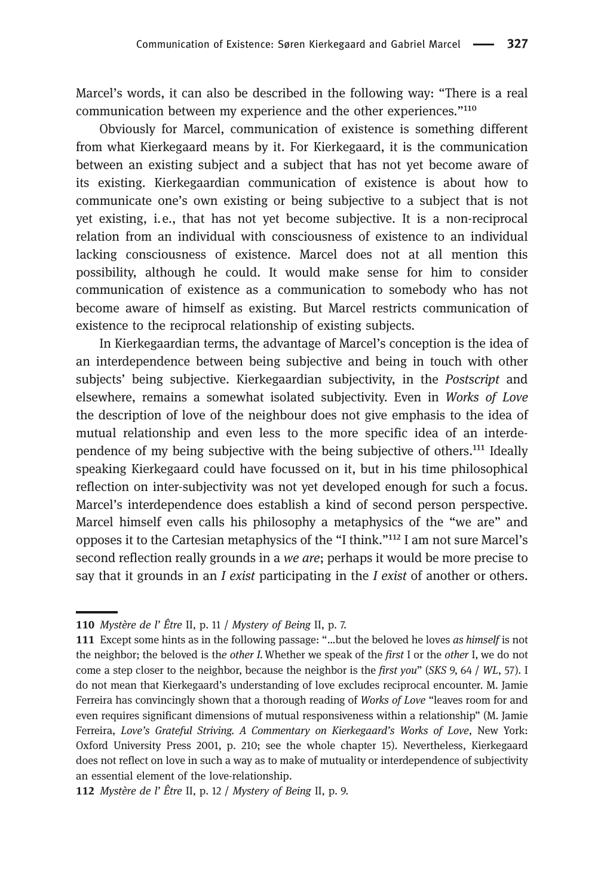Marcel's words, it can also be described in the following way: "There is a real communication between my experience and the other experiences."<sup>110</sup>

Obviously for Marcel, communication of existence is something different from what Kierkegaard means by it. For Kierkegaard, it is the communication between an existing subject and a subject that has not yet become aware of its existing. Kierkegaardian communication of existence is about how to communicate one's own existing or being subjective to a subject that is not yet existing, i.e., that has not yet become subjective. It is a non-reciprocal relation from an individual with consciousness of existence to an individual lacking consciousness of existence. Marcel does not at all mention this possibility, although he could. It would make sense for him to consider communication of existence as a communication to somebody who has not become aware of himself as existing. But Marcel restricts communication of existence to the reciprocal relationship of existing subjects.

In Kierkegaardian terms, the advantage of Marcel's conception is the idea of an interdependence between being subjective and being in touch with other subjects' being subjective. Kierkegaardian subjectivity, in the Postscript and elsewhere, remains a somewhat isolated subjectivity. Even in Works of Love the description of love of the neighbour does not give emphasis to the idea of mutual relationship and even less to the more specific idea of an interdependence of my being subjective with the being subjective of others.<sup>111</sup> Ideally speaking Kierkegaard could have focussed on it, but in his time philosophical reflection on inter-subjectivity was not yet developed enough for such a focus. Marcel's interdependence does establish a kind of second person perspective. Marcel himself even calls his philosophy a metaphysics of the "we are" and opposes it to the Cartesian metaphysics of the "I think."<sup>112</sup> I am not sure Marcel's second reflection really grounds in a *we are*; perhaps it would be more precise to say that it grounds in an  $I$  exist participating in the  $I$  exist of another or others.

<sup>110</sup> Mystère de l' Être II, p. 11 / Mystery of Being II, p. 7.

<sup>111</sup> Except some hints as in the following passage: "...but the beloved he loves as himself is not the neighbor; the beloved is the other I. Whether we speak of the *first* I or the *other* I, we do not come a step closer to the neighbor, because the neighbor is the first you" (SKS 9, 64 / WL, 57). I do not mean that Kierkegaard's understanding of love excludes reciprocal encounter. M. Jamie Ferreira has convincingly shown that a thorough reading of Works of Love "leaves room for and even requires significant dimensions of mutual responsiveness within a relationship" (M. Jamie Ferreira, Love's Grateful Striving. A Commentary on Kierkegaard's Works of Love, New York: Oxford University Press 2001, p. 210; see the whole chapter 15). Nevertheless, Kierkegaard does not reflect on love in such a way as to make of mutuality or interdependence of subjectivity an essential element of the love-relationship.

<sup>112</sup> Mystère de l' Être II, p. 12 / Mystery of Being II, p. 9.